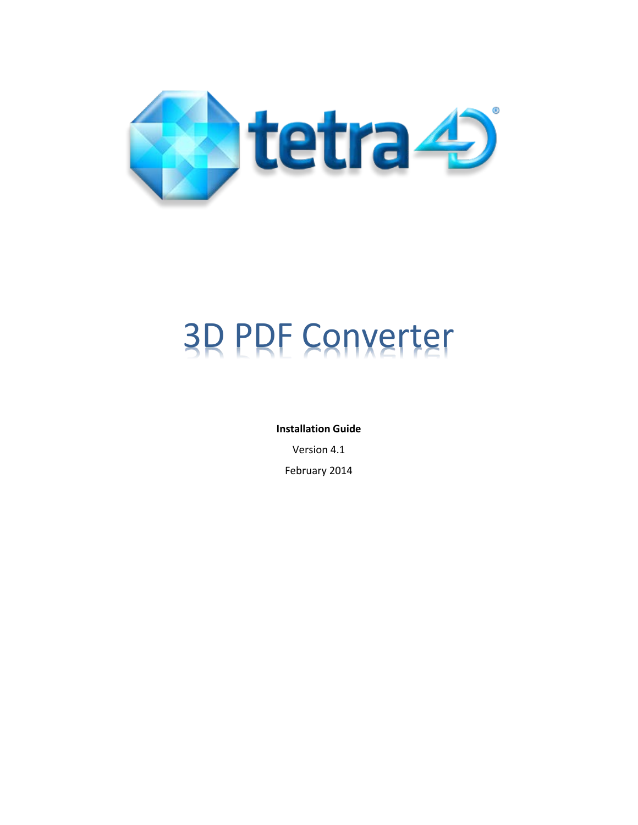

# 3D PDF Converter

**Installation Guide**

Version 4.1

February 2014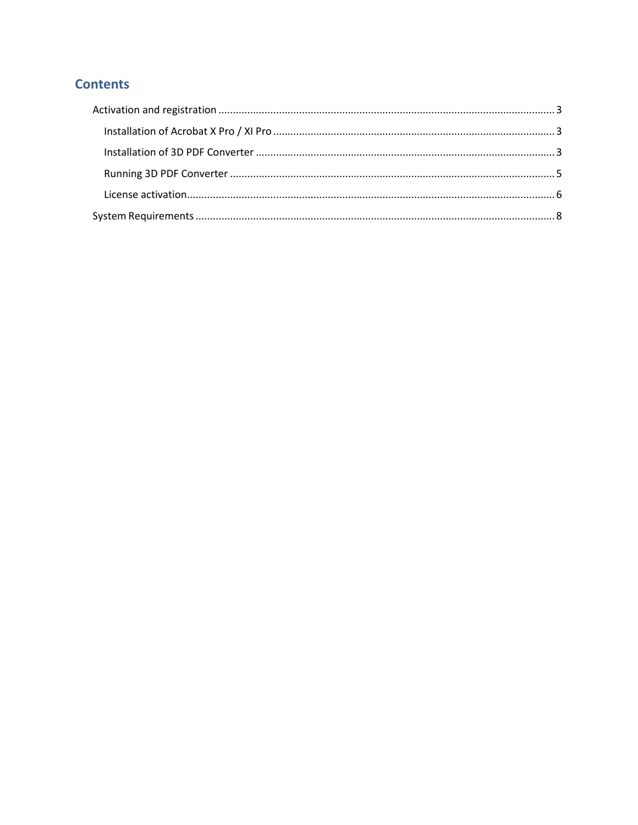## **Contents**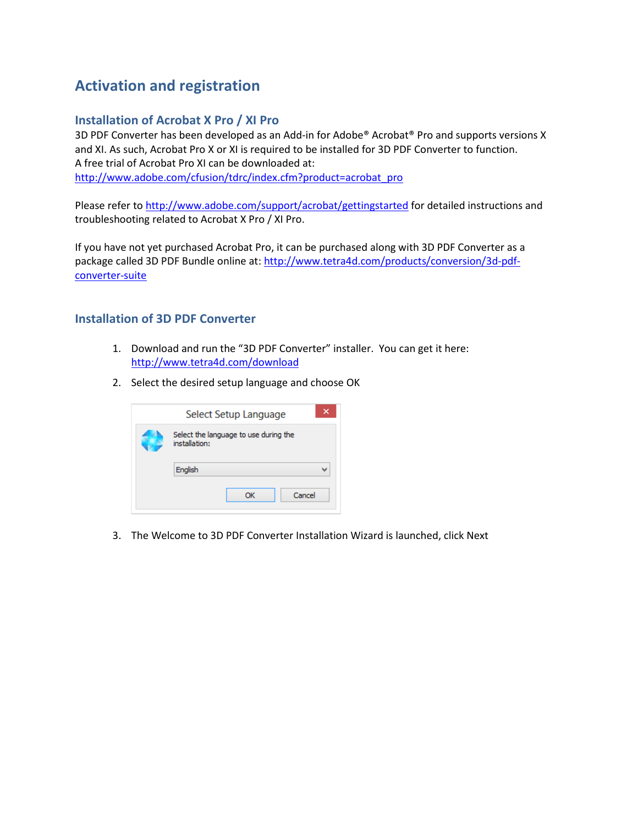# <span id="page-2-0"></span>**Activation and registration**

## <span id="page-2-1"></span>**Installation of Acrobat X Pro / XI Pro**

3D PDF Converter has been developed as an Add-in for Adobe® Acrobat® Pro and supports versions X and XI. As such, Acrobat Pro X or XI is required to be installed for 3D PDF Converter to function. A free trial of Acrobat Pro XI can be downloaded at: [http://www.adobe.com/cfusion/tdrc/index.cfm?product=acrobat\\_pro](http://www.adobe.com/cfusion/tdrc/index.cfm?product=acrobat_pro)

Please refer t[o http://www.adobe.com/support/acrobat/gettingstarted](http://www.adobe.com/support/acrobat/gettingstarted) for detailed instructions and troubleshooting related to Acrobat X Pro / XI Pro.

If you have not yet purchased Acrobat Pro, it can be purchased along with 3D PDF Converter as a package called 3D PDF Bundle online at: [http://www.tetra4d.com/products/conversion/3d-pdf](http://www.tetra4d.com/products/conversion/3d-pdf-converter-suite)[converter-suite](http://www.tetra4d.com/products/conversion/3d-pdf-converter-suite)

## <span id="page-2-2"></span>**Installation of 3D PDF Converter**

- 1. Download and run the "3D PDF Converter" installer. You can get it here: <http://www.tetra4d.com/download>
- 2. Select the desired setup language and choose OK

| Select Setup Language                                  | × |
|--------------------------------------------------------|---|
| Select the language to use during the<br>installation: |   |
| English                                                |   |
| Cancel<br>ОК                                           |   |

3. The Welcome to 3D PDF Converter Installation Wizard is launched, click Next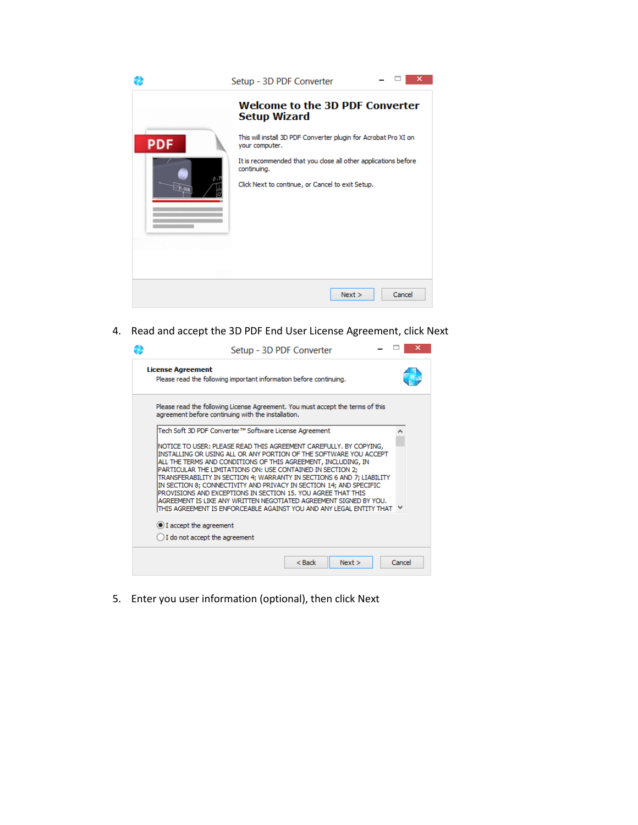|                      | ×<br>Setup - 3D PDF Converter                                                                                                                                                                                                                                                           |
|----------------------|-----------------------------------------------------------------------------------------------------------------------------------------------------------------------------------------------------------------------------------------------------------------------------------------|
| <b>PDF</b><br>26.000 | <b>Welcome to the 3D PDF Converter</b><br><b>Setup Wizard</b><br>This will install 3D PDF Converter plugin for Acrobat Pro XI on<br>your computer.<br>It is recommended that you close all other applications before<br>continuing.<br>Click Next to continue, or Cancel to exit Setup. |
|                      |                                                                                                                                                                                                                                                                                         |
|                      | Cancel<br>Next >                                                                                                                                                                                                                                                                        |

4. Read and accept the 3D PDF End User License Agreement, click Next

| Setup - 3D PDF Converter                                                                                                                                                                                                                                                                                                                                                                                                                                                                                                                                                                                                            |        |
|-------------------------------------------------------------------------------------------------------------------------------------------------------------------------------------------------------------------------------------------------------------------------------------------------------------------------------------------------------------------------------------------------------------------------------------------------------------------------------------------------------------------------------------------------------------------------------------------------------------------------------------|--------|
| <b>License Agreement</b><br>Please read the following important information before continuing.                                                                                                                                                                                                                                                                                                                                                                                                                                                                                                                                      |        |
| Please read the following License Agreement. You must accept the terms of this<br>agreement before continuing with the installation.                                                                                                                                                                                                                                                                                                                                                                                                                                                                                                |        |
| Tech Soft 3D PDF Converter™ Software License Agreement                                                                                                                                                                                                                                                                                                                                                                                                                                                                                                                                                                              |        |
| NOTICE TO USER: PLEASE READ THIS AGREEMENT CAREFULLY. BY COPYING,<br>INSTALLING OR USING ALL OR ANY PORTION OF THE SOFTWARE YOU ACCEPT<br>ALL THE TERMS AND CONDITIONS OF THIS AGREEMENT, INCLUDING, IN<br>PARTICULAR THE LIMITATIONS ON: USE CONTAINED IN SECTION 2;<br>TRANSFERABILITY IN SECTION 4; WARRANTY IN SECTIONS 6 AND 7; LIABILITY<br>IN SECTION 8; CONNECTIVITY AND PRIVACY IN SECTION 14; AND SPECIFIC<br>PROVISIONS AND EXCEPTIONS IN SECTION 15, YOU AGREE THAT THIS<br>AGREEMENT IS LIKE ANY WRITTEN NEGOTIATED AGREEMENT SIGNED BY YOU.<br>ITHIS AGREEMENT IS ENFORCEABLE AGAINST YOU AND ANY LEGAL ENTITY THAT └ |        |
| I accept the agreement                                                                                                                                                                                                                                                                                                                                                                                                                                                                                                                                                                                                              |        |
| I do not accept the agreement                                                                                                                                                                                                                                                                                                                                                                                                                                                                                                                                                                                                       |        |
| $<$ Back<br>Next                                                                                                                                                                                                                                                                                                                                                                                                                                                                                                                                                                                                                    | Cancel |

5. Enter you user information (optional), then click Next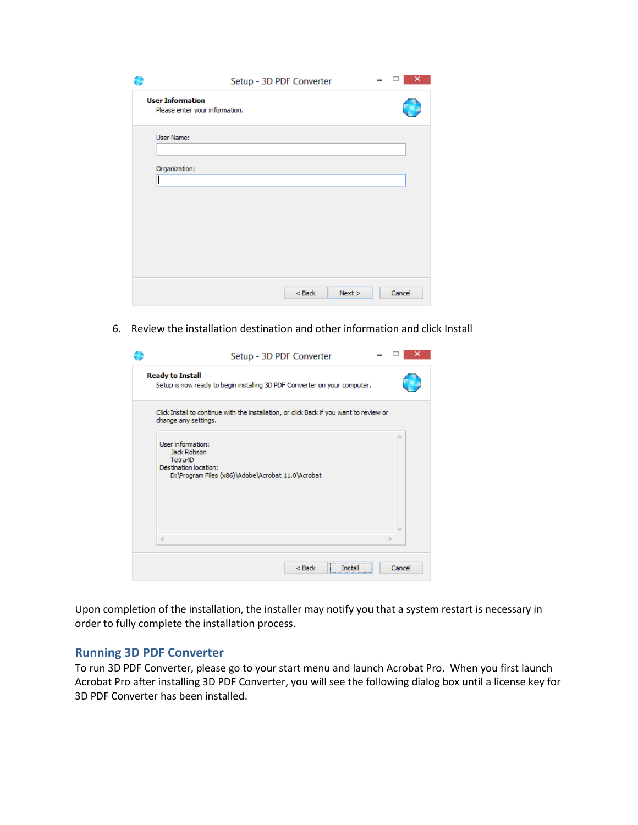|                         | Setup - 3D PDF Converter       | ×      |
|-------------------------|--------------------------------|--------|
| <b>User Information</b> | Please enter your information. |        |
| User Name:              |                                |        |
| Organization:           |                                |        |
|                         |                                |        |
|                         |                                |        |
|                         |                                |        |
|                         | $<$ Back<br>Next >             | Cancel |

6. Review the installation destination and other information and click Install

| Setup - 3D PDF Converter                                                                                                     |                 |
|------------------------------------------------------------------------------------------------------------------------------|-----------------|
| <b>Ready to Install</b><br>Setup is now ready to begin installing 3D PDF Converter on your computer.                         |                 |
| Click Install to continue with the installation, or click Back if you want to review or<br>change any settings.              |                 |
| User information:<br>Jack Robson<br>Tetra4D<br>Destination location:<br>D: Vrogram Files (x86) VAdobe VAcrobat 11.0 VAcrobat | $\mathcal{O}_2$ |
| $\langle$                                                                                                                    |                 |
| $<$ Back<br>Insta                                                                                                            | Cancel          |

Upon completion of the installation, the installer may notify you that a system restart is necessary in order to fully complete the installation process.

#### <span id="page-4-0"></span>**Running 3D PDF Converter**

To run 3D PDF Converter, please go to your start menu and launch Acrobat Pro. When you first launch Acrobat Pro after installing 3D PDF Converter, you will see the following dialog box until a license key for 3D PDF Converter has been installed.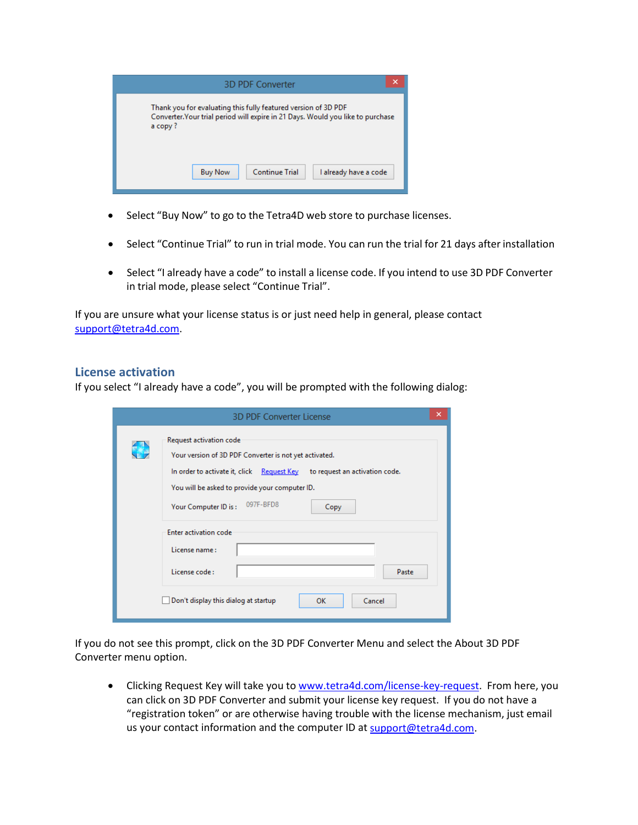

- Select "Buy Now" to go to the Tetra4D web store to purchase licenses.
- Select "Continue Trial" to run in trial mode. You can run the trial for 21 days after installation
- Select "I already have a code" to install a license code. If you intend to use 3D PDF Converter in trial mode, please select "Continue Trial".

If you are unsure what your license status is or just need help in general, please contact [support@tetra4d.com.](mailto:support@tetra4d.com)

#### <span id="page-5-0"></span>**License activation**

If you select "I already have a code", you will be prompted with the following dialog:

|                 | ×<br><b>3D PDF Converter License</b>                                                                                                                              |
|-----------------|-------------------------------------------------------------------------------------------------------------------------------------------------------------------|
| $\blacklozenge$ | Request activation code<br>Your version of 3D PDF Converter is not yet activated.<br>In order to activate it, click Request Key<br>to request an activation code. |
|                 | You will be asked to provide your computer ID.<br>097F-BFD8<br>Your Computer ID is:<br>Copy                                                                       |
|                 | Enter activation code<br>License name:<br>License code:<br>Paste                                                                                                  |
|                 | Don't display this dialog at startup<br>Cancel<br>ок                                                                                                              |

If you do not see this prompt, click on the 3D PDF Converter Menu and select the About 3D PDF Converter menu option.

• Clicking Request Key will take you t[o www.tetra4d.com/license-key-request.](http://www.tetra4d.com/license-key-request) From here, you can click on 3D PDF Converter and submit your license key request. If you do not have a "registration token" or are otherwise having trouble with the license mechanism, just email us your contact information and the computer ID at [support@tetra4d.com.](mailto:support@tetra4d.com)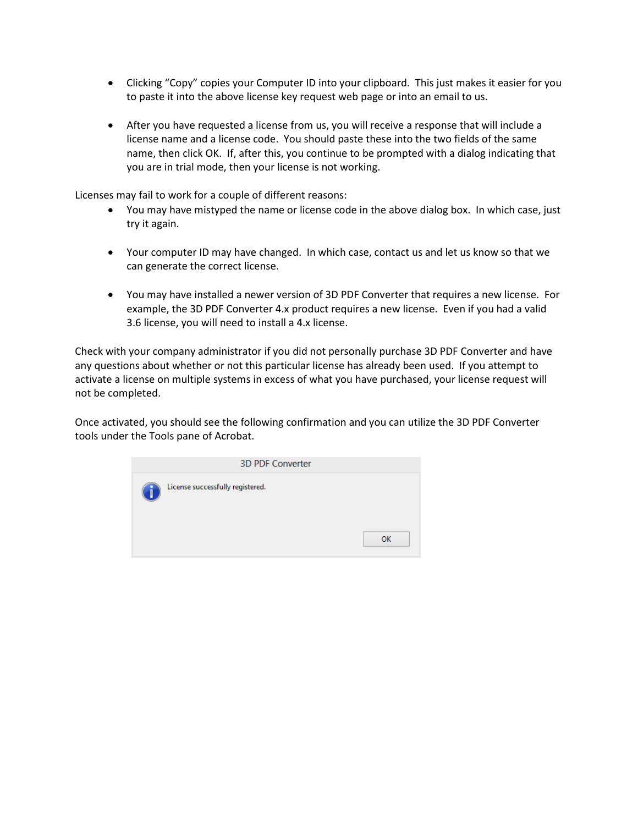- Clicking "Copy" copies your Computer ID into your clipboard. This just makes it easier for you to paste it into the above license key request web page or into an email to us.
- After you have requested a license from us, you will receive a response that will include a license name and a license code. You should paste these into the two fields of the same name, then click OK. If, after this, you continue to be prompted with a dialog indicating that you are in trial mode, then your license is not working.

Licenses may fail to work for a couple of different reasons:

- You may have mistyped the name or license code in the above dialog box. In which case, just try it again.
- Your computer ID may have changed. In which case, contact us and let us know so that we can generate the correct license.
- You may have installed a newer version of 3D PDF Converter that requires a new license. For example, the 3D PDF Converter 4.x product requires a new license. Even if you had a valid 3.6 license, you will need to install a 4.x license.

Check with your company administrator if you did not personally purchase 3D PDF Converter and have any questions about whether or not this particular license has already been used. If you attempt to activate a license on multiple systems in excess of what you have purchased, your license request will not be completed.

Once activated, you should see the following confirmation and you can utilize the 3D PDF Converter tools under the Tools pane of Acrobat.